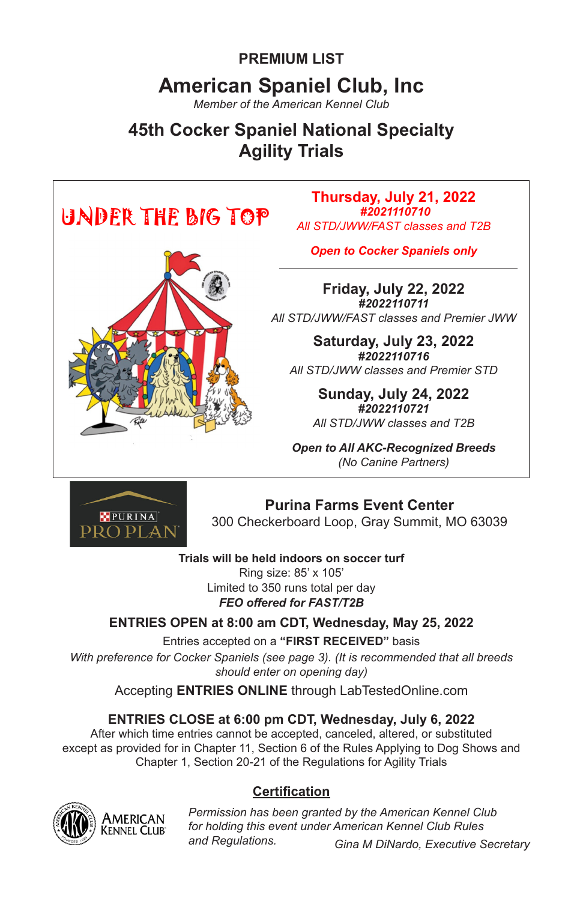## **PREMIUM LIST**

# **American Spaniel Club, Inc**

*Member of the American Kennel Club*

# **45th Cocker Spaniel National Specialty Agility Trials**



**Thursday, July 21, 2022**  *#2021110710 All STD/JWW/FAST classes and T2B*

*Open to Cocker Spaniels only*

**Friday, July 22, 2022** *#2022110711 All STD/JWW/FAST classes and Premier JWW*

**Saturday, July 23, 2022** *#2022110716 All STD/JWW classes and Premier STD*

> **Sunday, July 24, 2022** *#2022110721 All STD/JWW classes and T2B*

*Open to All AKC-Recognized Breeds (No Canine Partners)*



**Purina Farms Event Center**

300 Checkerboard Loop, Gray Summit, MO 63039

Limited to 350 runs total per day **Trials will be held indoors on soccer turf** Ring size: 85' x 105' *FEO offered for FAST/T2B*

## **ENTRIES OPEN at 8:00 am CDT, Wednesday, May 25, 2022**

Entries accepted on a **"FIRST RECEIVED"** basis *With preference for Cocker Spaniels (see page 3). (It is recommended that all breeds should enter on opening day)*

Accepting **ENTRIES ONLINE** through LabTestedOnline.com

## **ENTRIES CLOSE at 6:00 pm CDT, Wednesday, July 6, 2022**

After which time entries cannot be accepted, canceled, altered, or substituted except as provided for in Chapter 11, Section 6 of the Rules Applying to Dog Shows and Chapter 1, Section 20-21 of the Regulations for Agility Trials

## **Certification**

*Permission has been granted by the American Kennel Club for holding this event under American Kennel Club Rules and Regulations. Gina M DiNardo, Executive Secretary*

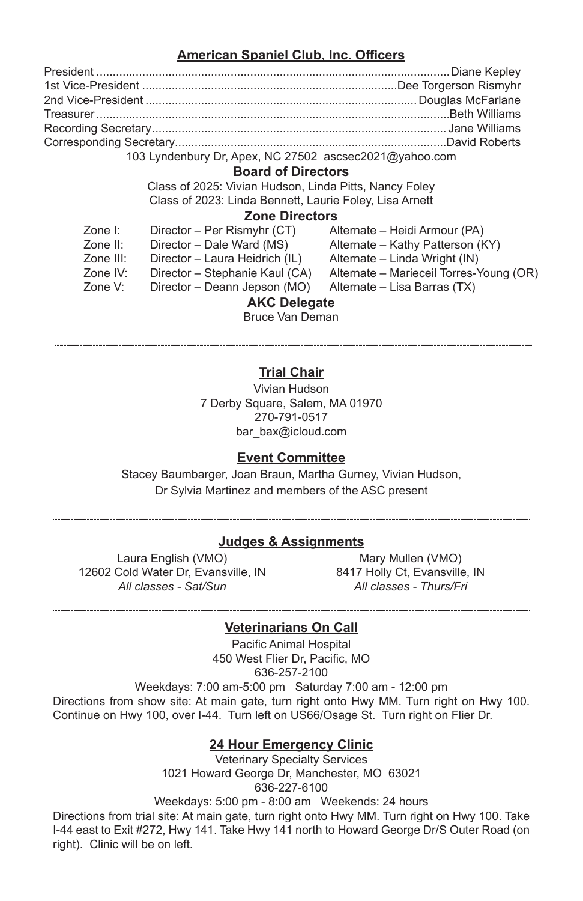## **American Spaniel Club, Inc. Officers**

103 Lyndenbury Dr, Apex, NC 27502 ascsec2021@yahoo.com

## **Board of Directors**

Class of 2025: Vivian Hudson, Linda Pitts, Nancy Foley Class of 2023: Linda Bennett, Laurie Foley, Lisa Arnett

#### **Zone Directors**

| Zone I:             | Director - Per Rismyhr (CT)    | Alternate - Heidi Armour (PA)           |  |  |  |  |
|---------------------|--------------------------------|-----------------------------------------|--|--|--|--|
| Zone II:            | Director - Dale Ward (MS)      | Alternate – Kathy Patterson (KY)        |  |  |  |  |
| Zone III:           | Director - Laura Heidrich (IL) | Alternate - Linda Wright (IN)           |  |  |  |  |
| Zone IV:            | Director - Stephanie Kaul (CA) | Alternate – Marieceil Torres-Young (OR) |  |  |  |  |
| Zone V:             | Director - Deann Jepson (MO)   | Alternate – Lisa Barras (TX)            |  |  |  |  |
| <b>AKC Delegate</b> |                                |                                         |  |  |  |  |

Bruce Van Deman

## **Trial Chair**

Vivian Hudson 7 Derby Square, Salem, MA 01970 270-791-0517 bar\_bax@icloud.com

#### **Event Committee**

Stacey Baumbarger, Joan Braun, Martha Gurney, Vivian Hudson, Dr Sylvia Martinez and members of the ASC present

#### **Judges & Assignments**

Laura English (VMO) Contract Mary Mullen (VMO) 12602 Cold Water Dr, Evansville, IN 8417 Holly Ct, Evansville, IN *All classes - Sat/Sun All classes - Thurs/Fri*

#### **Veterinarians On Call**

Pacific Animal Hospital 450 West Flier Dr, Pacific, MO 636-257-2100

Weekdays: 7:00 am-5:00 pm Saturday 7:00 am - 12:00 pm Directions from show site: At main gate, turn right onto Hwy MM. Turn right on Hwy 100. Continue on Hwy 100, over I-44. Turn left on US66/Osage St. Turn right on Flier Dr.

#### **24 Hour Emergency Clinic**

Veterinary Specialty Services 1021 Howard George Dr, Manchester, MO 63021 636-227-6100

Weekdays: 5:00 pm - 8:00 am Weekends: 24 hours Directions from trial site: At main gate, turn right onto Hwy MM. Turn right on Hwy 100. Take I-44 east to Exit #272, Hwy 141. Take Hwy 141 north to Howard George Dr/S Outer Road (on right). Clinic will be on left.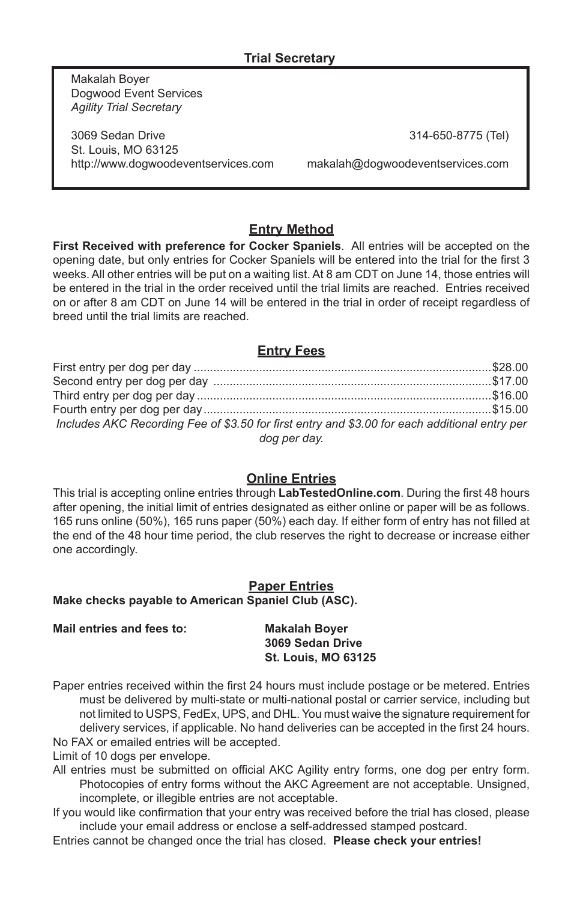Makalah Boyer Dogwood Event Services *Agility Trial Secretary*

3069 Sedan Drive 314-650-8775 (Tel) St. Louis, MO 63125 http://www.dogwoodeventservices.com makalah@dogwoodeventservices.com

## **Entry Method**

**First Received with preference for Cocker Spaniels**. All entries will be accepted on the opening date, but only entries for Cocker Spaniels will be entered into the trial for the first 3 weeks. All other entries will be put on a waiting list. At 8 am CDT on June 14, those entries will be entered in the trial in the order received until the trial limits are reached. Entries received on or after 8 am CDT on June 14 will be entered in the trial in order of receipt regardless of breed until the trial limits are reached.

## **Entry Fees**

| Includes AKC Recording Fee of \$3.50 for first entry and \$3.00 for each additional entry per |  |
|-----------------------------------------------------------------------------------------------|--|
| dog per day.                                                                                  |  |

## **Online Entries**

This trial is accepting online entries through **LabTestedOnline.com**. During the first 48 hours after opening, the initial limit of entries designated as either online or paper will be as follows. 165 runs online (50%), 165 runs paper (50%) each day. If either form of entry has not filled at the end of the 48 hour time period, the club reserves the right to decrease or increase either one accordingly.

#### **Paper Entries**

**Make checks payable to American Spaniel Club (ASC).**

| Mail entries and fees to: | <b>Makalah Boyer</b>       |
|---------------------------|----------------------------|
|                           | 3069 Sedan Drive           |
|                           | <b>St. Louis, MO 63125</b> |

Paper entries received within the first 24 hours must include postage or be metered. Entries must be delivered by multi-state or multi-national postal or carrier service, including but not limited to USPS, FedEx, UPS, and DHL. You must waive the signature requirement for delivery services, if applicable. No hand deliveries can be accepted in the first 24 hours. No FAX or emailed entries will be accepted.

Limit of 10 dogs per envelope.

All entries must be submitted on official AKC Agility entry forms, one dog per entry form. Photocopies of entry forms without the AKC Agreement are not acceptable. Unsigned, incomplete, or illegible entries are not acceptable.

If you would like confirmation that your entry was received before the trial has closed, please include your email address or enclose a self-addressed stamped postcard.

Entries cannot be changed once the trial has closed. **Please check your entries!**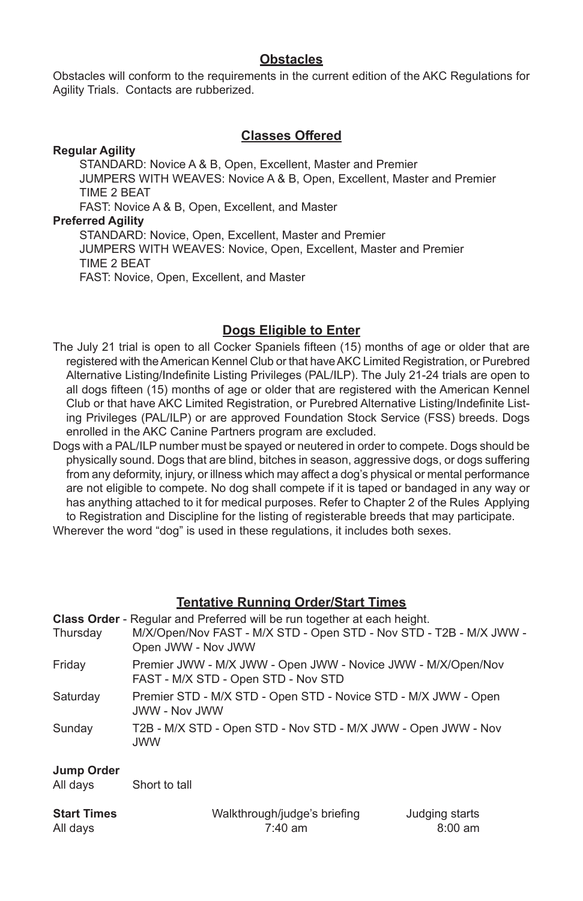## **Obstacles**

Obstacles will conform to the requirements in the current edition of the AKC Regulations for Agility Trials. Contacts are rubberized.

#### **Classes Offered**

#### **Regular Agility**

STANDARD: Novice A & B, Open, Excellent, Master and Premier JUMPERS WITH WEAVES: Novice A & B, Open, Excellent, Master and Premier TIME 2 BEAT FAST: Novice A & B, Open, Excellent, and Master **Preferred Agility** STANDARD: Novice, Open, Excellent, Master and Premier JUMPERS WITH WEAVES: Novice, Open, Excellent, Master and Premier TIME 2 BEAT FAST: Novice, Open, Excellent, and Master

#### **Dogs Eligible to Enter**

The July 21 trial is open to all Cocker Spaniels fifteen (15) months of age or older that are registered with the American Kennel Club or that have AKC Limited Registration, or Purebred Alternative Listing/Indefinite Listing Privileges (PAL/ILP). The July 21-24 trials are open to all dogs fifteen (15) months of age or older that are registered with the American Kennel Club or that have AKC Limited Registration, or Purebred Alternative Listing/Indefinite Listing Privileges (PAL/ILP) or are approved Foundation Stock Service (FSS) breeds. Dogs enrolled in the AKC Canine Partners program are excluded.

Dogs with a PAL/ILP number must be spayed or neutered in order to compete. Dogs should be physically sound. Dogs that are blind, bitches in season, aggressive dogs, or dogs suffering from any deformity, injury, or illness which may affect a dog's physical or mental performance are not eligible to compete. No dog shall compete if it is taped or bandaged in any way or has anything attached to it for medical purposes. Refer to Chapter 2 of the Rules Applying to Registration and Discipline for the listing of registerable breeds that may participate. Wherever the word "dog" is used in these regulations, it includes both sexes.

#### **Tentative Running Order/Start Times**

| Thursday               | <b>Class Order</b> - Regular and Preferred will be run together at each height.<br>M/X/Open/Nov FAST - M/X STD - Open STD - Nov STD - T2B - M/X JWW -<br>Open JWW - Nov JWW |
|------------------------|-----------------------------------------------------------------------------------------------------------------------------------------------------------------------------|
| Friday                 | Premier JWW - M/X JWW - Open JWW - Novice JWW - M/X/Open/Nov<br>FAST - M/X STD - Open STD - Nov STD                                                                         |
| Saturday               | Premier STD - M/X STD - Open STD - Novice STD - M/X JWW - Open<br>JWW - Nov JWW                                                                                             |
| Sunday                 | T2B - M/X STD - Open STD - Nov STD - M/X JWW - Open JWW - Nov<br><b>JWW</b>                                                                                                 |
| Jump Order<br>All days | Short to tall                                                                                                                                                               |

| <b>Start Times</b> | Walkthrough/judge's briefing | Judging starts    |
|--------------------|------------------------------|-------------------|
| All days           | 7:40 am                      | $8:00 \text{ am}$ |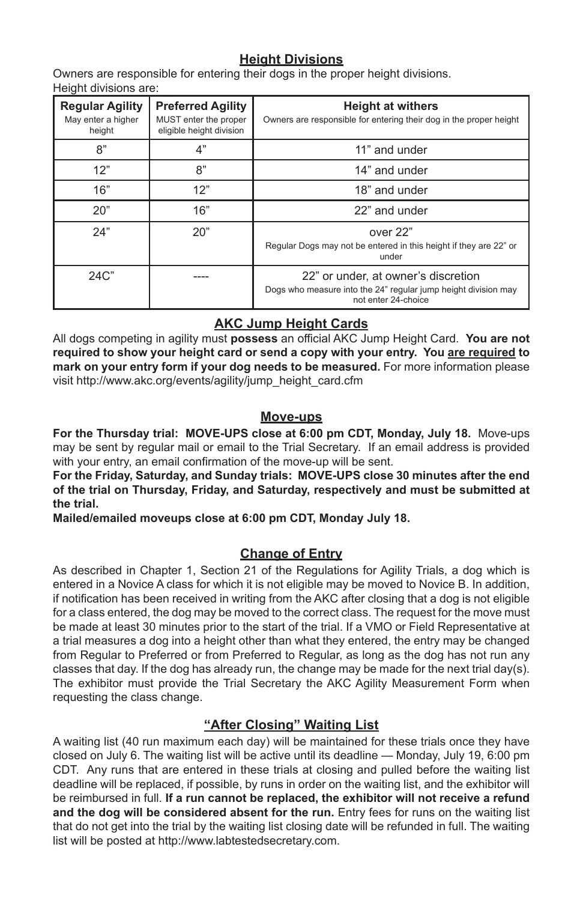## **Height Divisions**

Owners are responsible for entering their dogs in the proper height divisions. Height divisions are:

| <b>Regular Agility</b><br>May enter a higher<br>height | <b>Preferred Agility</b><br>MUST enter the proper<br>eligible height division | <b>Height at withers</b><br>Owners are responsible for entering their dog in the proper height                               |
|--------------------------------------------------------|-------------------------------------------------------------------------------|------------------------------------------------------------------------------------------------------------------------------|
| ጸ"                                                     | 4"                                                                            | 11" and under                                                                                                                |
| 12"                                                    | 8"                                                                            | 14" and under                                                                                                                |
| 16"                                                    | 12"                                                                           | 18" and under                                                                                                                |
| 20"                                                    | 16"                                                                           | 22" and under                                                                                                                |
| 24"                                                    | 20"                                                                           | over 22"<br>Regular Dogs may not be entered in this height if they are 22" or<br>under                                       |
| $24C$ "                                                |                                                                               | 22" or under, at owner's discretion<br>Dogs who measure into the 24" regular jump height division may<br>not enter 24-choice |

## **AKC Jump Height Cards**

All dogs competing in agility must **possess** an official AKC Jump Height Card. **You are not required to show your height card or send a copy with your entry. You are required to mark on your entry form if your dog needs to be measured.** For more information please visit http://www.akc.org/events/agility/jump\_height\_card.cfm

## **Move-ups**

**For the Thursday trial: MOVE-UPS close at 6:00 pm CDT, Monday, July 18.** Move-ups may be sent by regular mail or email to the Trial Secretary. If an email address is provided with your entry, an email confirmation of the move-up will be sent.

**For the Friday, Saturday, and Sunday trials: MOVE-UPS close 30 minutes after the end of the trial on Thursday, Friday, and Saturday, respectively and must be submitted at the trial.**

**Mailed/emailed moveups close at 6:00 pm CDT, Monday July 18.**

## **Change of Entry**

As described in Chapter 1, Section 21 of the Regulations for Agility Trials, a dog which is entered in a Novice A class for which it is not eligible may be moved to Novice B. In addition, if notification has been received in writing from the AKC after closing that a dog is not eligible for a class entered, the dog may be moved to the correct class. The request for the move must be made at least 30 minutes prior to the start of the trial. If a VMO or Field Representative at a trial measures a dog into a height other than what they entered, the entry may be changed from Regular to Preferred or from Preferred to Regular, as long as the dog has not run any classes that day. If the dog has already run, the change may be made for the next trial day(s). The exhibitor must provide the Trial Secretary the AKC Agility Measurement Form when requesting the class change.

## **"After Closing" Waiting List**

A waiting list (40 run maximum each day) will be maintained for these trials once they have closed on July 6. The waiting list will be active until its deadline — Monday, July 19, 6:00 pm CDT. Any runs that are entered in these trials at closing and pulled before the waiting list deadline will be replaced, if possible, by runs in order on the waiting list, and the exhibitor will be reimbursed in full. **If a run cannot be replaced, the exhibitor will not receive a refund and the dog will be considered absent for the run.** Entry fees for runs on the waiting list that do not get into the trial by the waiting list closing date will be refunded in full. The waiting list will be posted at http://www.labtestedsecretary.com.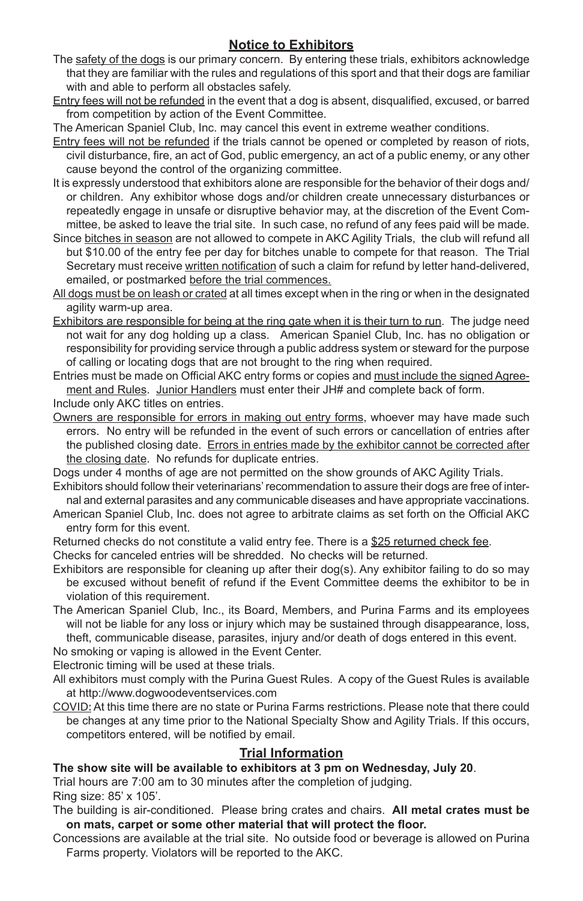## **Notice to Exhibitors**

- The safety of the dogs is our primary concern. By entering these trials, exhibitors acknowledge that they are familiar with the rules and regulations of this sport and that their dogs are familiar with and able to perform all obstacles safely.
- Entry fees will not be refunded in the event that a dog is absent, disqualified, excused, or barred from competition by action of the Event Committee.

The American Spaniel Club, Inc. may cancel this event in extreme weather conditions.

- Entry fees will not be refunded if the trials cannot be opened or completed by reason of riots, civil disturbance, fire, an act of God, public emergency, an act of a public enemy, or any other cause beyond the control of the organizing committee.
- It is expressly understood that exhibitors alone are responsible for the behavior of their dogs and/ or children. Any exhibitor whose dogs and/or children create unnecessary disturbances or repeatedly engage in unsafe or disruptive behavior may, at the discretion of the Event Committee, be asked to leave the trial site. In such case, no refund of any fees paid will be made.
- Since bitches in season are not allowed to compete in AKC Agility Trials, the club will refund all but \$10.00 of the entry fee per day for bitches unable to compete for that reason. The Trial Secretary must receive written notification of such a claim for refund by letter hand-delivered, emailed, or postmarked before the trial commences.
- All dogs must be on leash or crated at all times except when in the ring or when in the designated agility warm-up area.
- Exhibitors are responsible for being at the ring gate when it is their turn to run. The judge need not wait for any dog holding up a class. American Spaniel Club, Inc. has no obligation or responsibility for providing service through a public address system or steward for the purpose of calling or locating dogs that are not brought to the ring when required.
- Entries must be made on Official AKC entry forms or copies and must include the signed Agreement and Rules. Junior Handlers must enter their JH# and complete back of form. Include only AKC titles on entries.
- Owners are responsible for errors in making out entry forms, whoever may have made such errors. No entry will be refunded in the event of such errors or cancellation of entries after the published closing date. Errors in entries made by the exhibitor cannot be corrected after the closing date. No refunds for duplicate entries.

Dogs under 4 months of age are not permitted on the show grounds of AKC Agility Trials.

- Exhibitors should follow their veterinarians' recommendation to assure their dogs are free of internal and external parasites and any communicable diseases and have appropriate vaccinations.
- American Spaniel Club, Inc. does not agree to arbitrate claims as set forth on the Official AKC entry form for this event.
- Returned checks do not constitute a valid entry fee. There is a \$25 returned check fee. Checks for canceled entries will be shredded. No checks will be returned.
- Exhibitors are responsible for cleaning up after their dog(s). Any exhibitor failing to do so may be excused without benefit of refund if the Event Committee deems the exhibitor to be in violation of this requirement.
- The American Spaniel Club, Inc., its Board, Members, and Purina Farms and its employees will not be liable for any loss or injury which may be sustained through disappearance, loss, theft, communicable disease, parasites, injury and/or death of dogs entered in this event.

No smoking or vaping is allowed in the Event Center.

Electronic timing will be used at these trials.

- All exhibitors must comply with the Purina Guest Rules. A copy of the Guest Rules is available at http://www.dogwoodeventservices.com
- COVID: At this time there are no state or Purina Farms restrictions. Please note that there could be changes at any time prior to the National Specialty Show and Agility Trials. If this occurs, competitors entered, will be notified by email.

## **Trial Information**

**The show site will be available to exhibitors at 3 pm on Wednesday, July 20**.

Trial hours are 7:00 am to 30 minutes after the completion of judging. Ring size: 85' x 105'.

The building is air-conditioned. Please bring crates and chairs. **All metal crates must be on mats, carpet or some other material that will protect the floor.**

Concessions are available at the trial site. No outside food or beverage is allowed on Purina Farms property. Violators will be reported to the AKC.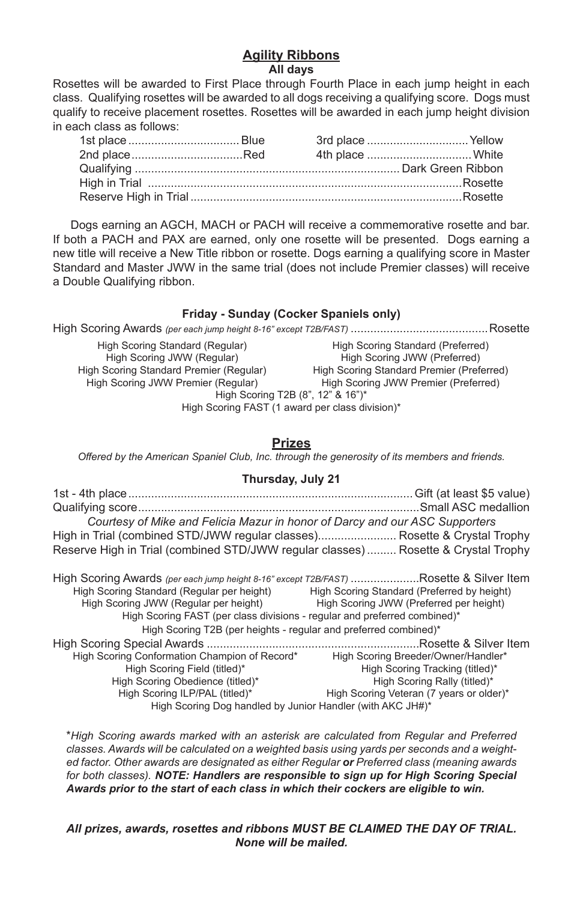#### **Agility Ribbons All days**

Rosettes will be awarded to First Place through Fourth Place in each jump height in each class. Qualifying rosettes will be awarded to all dogs receiving a qualifying score. Dogs must qualify to receive placement rosettes. Rosettes will be awarded in each jump height division in each class as follows:

|  | 3rd place  Yellow |  |
|--|-------------------|--|
|  |                   |  |
|  |                   |  |
|  |                   |  |
|  |                   |  |

 Dogs earning an AGCH, MACH or PACH will receive a commemorative rosette and bar. If both a PACH and PAX are earned, only one rosette will be presented. Dogs earning a new title will receive a New Title ribbon or rosette. Dogs earning a qualifying score in Master Standard and Master JWW in the same trial (does not include Premier classes) will receive a Double Qualifying ribbon.

#### **Friday - Sunday (Cocker Spaniels only)**

High Scoring Standard (Regular) High Scoring Standard (Preferred) High Scoring JWW (Preferred) High Scoring Standard Premier (Regular) High Scoring Standard Premier (Preferred) High Scoring JWW Premier (Regular) High Scoring JWW Premier (Preferred) High Scoring T2B (8", 12" & 16")\* High Scoring FAST (1 award per class division)\* High Scoring Awards *(per each jump height 8-16" except T2B/FAST)* ..........................................Rosette

## **Prizes**

*Offered by the American Spaniel Club, Inc. through the generosity of its members and friends.*

#### **Thursday, July 21**

| Courtesy of Mike and Felicia Mazur in honor of Darcy and our ASC Supporters            |                                             |
|----------------------------------------------------------------------------------------|---------------------------------------------|
| High in Trial (combined STD/JWW regular classes) Rosette & Crystal Trophy              |                                             |
| Reserve High in Trial (combined STD/JWW regular classes)  Rosette & Crystal Trophy     |                                             |
|                                                                                        |                                             |
| High Scoring Awards (per each jump height 8-16" except T2B/FAST) Rosette & Silver Item |                                             |
| High Scoring Standard (Regular per height)                                             | High Scoring Standard (Preferred by height) |
| High Scoring JWW (Regular per height) High Scoring JWW (Preferred per height)          |                                             |
| High Scoring FAST (per class divisions - regular and preferred combined)*              |                                             |
| High Scoring T2B (per heights - regular and preferred combined)*                       |                                             |
|                                                                                        |                                             |
| High Scoring Conformation Champion of Record*                                          | High Scoring Breeder/Owner/Handler*         |
| High Scoring Field (titled)*                                                           | High Scoring Tracking (titled)*             |
| High Scoring Obedience (titled)*                                                       | High Scoring Rally (titled)*                |
| High Scoring ILP/PAL (titled)*                                                         | High Scoring Veteran (7 years or older)*    |
| High Scoring Dog handled by Junior Handler (with AKC JH#)*                             |                                             |

\**High Scoring awards marked with an asterisk are calculated from Regular and Preferred classes. Awards will be calculated on a weighted basis using yards per seconds and a weighted factor. Other awards are designated as either Regular or Preferred class (meaning awards for both classes). NOTE: Handlers are responsible to sign up for High Scoring Special Awards prior to the start of each class in which their cockers are eligible to win.*

*All prizes, awards, rosettes and ribbons MUST BE CLAIMED THE DAY OF TRIAL. None will be mailed.*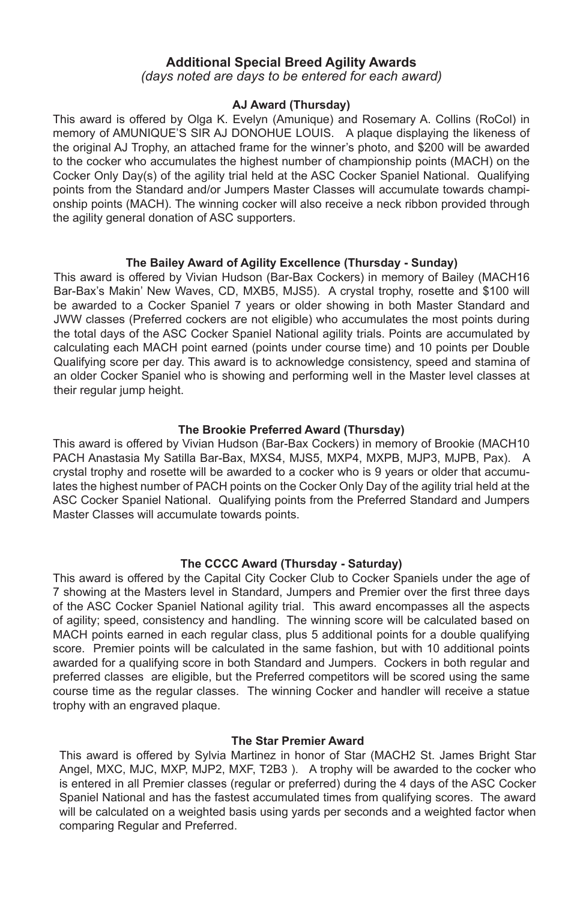#### **Additional Special Breed Agility Awards** *(days noted are days to be entered for each award)*

#### **AJ Award (Thursday)**

This award is offered by Olga K. Evelyn (Amunique) and Rosemary A. Collins (RoCol) in memory of AMUNIQUE'S SIR AJ DONOHUE LOUIS. A plaque displaying the likeness of the original AJ Trophy, an attached frame for the winner's photo, and \$200 will be awarded to the cocker who accumulates the highest number of championship points (MACH) on the Cocker Only Day(s) of the agility trial held at the ASC Cocker Spaniel National. Qualifying points from the Standard and/or Jumpers Master Classes will accumulate towards championship points (MACH). The winning cocker will also receive a neck ribbon provided through the agility general donation of ASC supporters.

#### **The Bailey Award of Agility Excellence (Thursday - Sunday)**

This award is offered by Vivian Hudson (Bar-Bax Cockers) in memory of Bailey (MACH16 Bar-Bax's Makin' New Waves, CD, MXB5, MJS5). A crystal trophy, rosette and \$100 will be awarded to a Cocker Spaniel 7 years or older showing in both Master Standard and JWW classes (Preferred cockers are not eligible) who accumulates the most points during the total days of the ASC Cocker Spaniel National agility trials. Points are accumulated by calculating each MACH point earned (points under course time) and 10 points per Double Qualifying score per day. This award is to acknowledge consistency, speed and stamina of an older Cocker Spaniel who is showing and performing well in the Master level classes at their regular jump height.

#### **The Brookie Preferred Award (Thursday)**

This award is offered by Vivian Hudson (Bar-Bax Cockers) in memory of Brookie (MACH10 PACH Anastasia My Satilla Bar-Bax, MXS4, MJS5, MXP4, MXPB, MJP3, MJPB, Pax). A crystal trophy and rosette will be awarded to a cocker who is 9 years or older that accumulates the highest number of PACH points on the Cocker Only Day of the agility trial held at the ASC Cocker Spaniel National. Qualifying points from the Preferred Standard and Jumpers Master Classes will accumulate towards points.

#### **The CCCC Award (Thursday - Saturday)**

This award is offered by the Capital City Cocker Club to Cocker Spaniels under the age of 7 showing at the Masters level in Standard, Jumpers and Premier over the first three days of the ASC Cocker Spaniel National agility trial. This award encompasses all the aspects of agility; speed, consistency and handling. The winning score will be calculated based on MACH points earned in each regular class, plus 5 additional points for a double qualifying score. Premier points will be calculated in the same fashion, but with 10 additional points awarded for a qualifying score in both Standard and Jumpers. Cockers in both regular and preferred classes are eligible, but the Preferred competitors will be scored using the same course time as the regular classes. The winning Cocker and handler will receive a statue trophy with an engraved plaque.

#### **The Star Premier Award**

This award is offered by Sylvia Martinez in honor of Star (MACH2 St. James Bright Star Angel, MXC, MJC, MXP, MJP2, MXF, T2B3 ). A trophy will be awarded to the cocker who is entered in all Premier classes (regular or preferred) during the 4 days of the ASC Cocker Spaniel National and has the fastest accumulated times from qualifying scores. The award will be calculated on a weighted basis using yards per seconds and a weighted factor when comparing Regular and Preferred.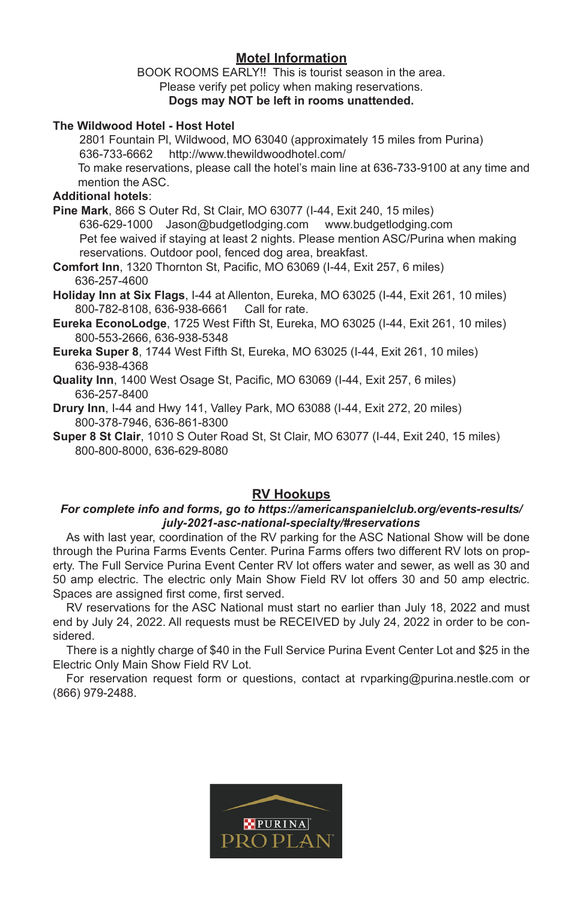## **Motel Information**

#### BOOK ROOMS EARLY!! This is tourist season in the area. Please verify pet policy when making reservations. **Dogs may NOT be left in rooms unattended.**

#### **The Wildwood Hotel - Host Hotel**

2801 Fountain Pl, Wildwood, MO 63040 (approximately 15 miles from Purina) 636-733-6662 http://www.thewildwoodhotel.com/ To make reservations, please call the hotel's main line at 636-733-9100 at any time and mention the ASC.

#### **Additional hotels**:

**Pine Mark**, 866 S Outer Rd, St Clair, MO 63077 (I-44, Exit 240, 15 miles) 636-629-1000 Jason@budgetlodging.com www.budgetlodging.com Pet fee waived if staying at least 2 nights. Please mention ASC/Purina when making reservations. Outdoor pool, fenced dog area, breakfast.

- **Comfort Inn**, 1320 Thornton St, Pacific, MO 63069 (I-44, Exit 257, 6 miles) 636-257-4600
- **Holiday Inn at Six Flags**, I-44 at Allenton, Eureka, MO 63025 (I-44, Exit 261, 10 miles) 800-782-8108, 636-938-6661 Call for rate.
- **Eureka EconoLodge**, 1725 West Fifth St, Eureka, MO 63025 (I-44, Exit 261, 10 miles) 800-553-2666, 636-938-5348
- **Eureka Super 8**, 1744 West Fifth St, Eureka, MO 63025 (I-44, Exit 261, 10 miles) 636-938-4368
- **Quality Inn**, 1400 West Osage St, Pacific, MO 63069 (I-44, Exit 257, 6 miles) 636-257-8400
- **Drury Inn**, I-44 and Hwy 141, Valley Park, MO 63088 (I-44, Exit 272, 20 miles) 800-378-7946, 636-861-8300
- **Super 8 St Clair**, 1010 S Outer Road St, St Clair, MO 63077 (I-44, Exit 240, 15 miles) 800-800-8000, 636-629-8080

## **RV Hookups**

#### *For complete info and forms, go to https://americanspanielclub.org/events-results/ july-2021-asc-national-specialty/#reservations*

As with last year, coordination of the RV parking for the ASC National Show will be done through the Purina Farms Events Center. Purina Farms offers two different RV lots on property. The Full Service Purina Event Center RV lot offers water and sewer, as well as 30 and 50 amp electric. The electric only Main Show Field RV lot offers 30 and 50 amp electric. Spaces are assigned first come, first served.

RV reservations for the ASC National must start no earlier than July 18, 2022 and must end by July 24, 2022. All requests must be RECEIVED by July 24, 2022 in order to be considered.

There is a nightly charge of \$40 in the Full Service Purina Event Center Lot and \$25 in the Electric Only Main Show Field RV Lot.

For reservation request form or questions, contact at rvparking@purina.nestle.com or (866) 979-2488.

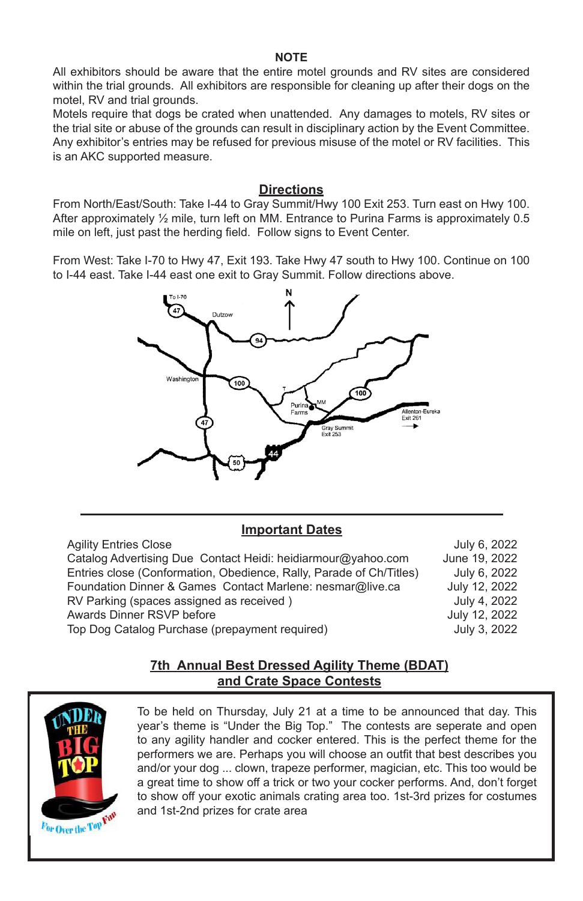All exhibitors should be aware that the entire motel grounds and RV sites are considered within the trial grounds. All exhibitors are responsible for cleaning up after their dogs on the motel, RV and trial grounds.

Motels require that dogs be crated when unattended. Any damages to motels, RV sites or the trial site or abuse of the grounds can result in disciplinary action by the Event Committee. Any exhibitor's entries may be refused for previous misuse of the motel or RV facilities. This is an AKC supported measure.

#### **Directions**

From North/East/South: Take I-44 to Gray Summit/Hwy 100 Exit 253. Turn east on Hwy 100. After approximately  $\frac{1}{2}$  mile, turn left on MM. Entrance to Purina Farms is approximately 0.5 mile on left, just past the herding field. Follow signs to Event Center.

From West: Take I-70 to Hwy 47, Exit 193. Take Hwy 47 south to Hwy 100. Continue on 100 to I-44 east. Take I-44 east one exit to Gray Summit. Follow directions above.



#### **Important Dates**

| <b>Agility Entries Close</b>                                        | July 6, 2022  |
|---------------------------------------------------------------------|---------------|
| Catalog Advertising Due Contact Heidi: heidiarmour@yahoo.com        | June 19, 2022 |
| Entries close (Conformation, Obedience, Rally, Parade of Ch/Titles) | July 6, 2022  |
| Foundation Dinner & Games Contact Marlene: nesmar@live.ca           | July 12, 2022 |
| RV Parking (spaces assigned as received)                            | July 4, 2022  |
| Awards Dinner RSVP before                                           | July 12, 2022 |
| Top Dog Catalog Purchase (prepayment required)                      | July 3, 2022  |
|                                                                     |               |

## **7th Annual Best Dressed Agility Theme (BDAT) and Crate Space Contests**



To be held on Thursday, July 21 at a time to be announced that day. This year's theme is "Under the Big Top." The contests are seperate and open to any agility handler and cocker entered. This is the perfect theme for the performers we are. Perhaps you will choose an outfit that best describes you and/or your dog ... clown, trapeze performer, magician, etc. This too would be a great time to show off a trick or two your cocker performs. And, don't forget to show off your exotic animals crating area too. 1st-3rd prizes for costumes and 1st-2nd prizes for crate area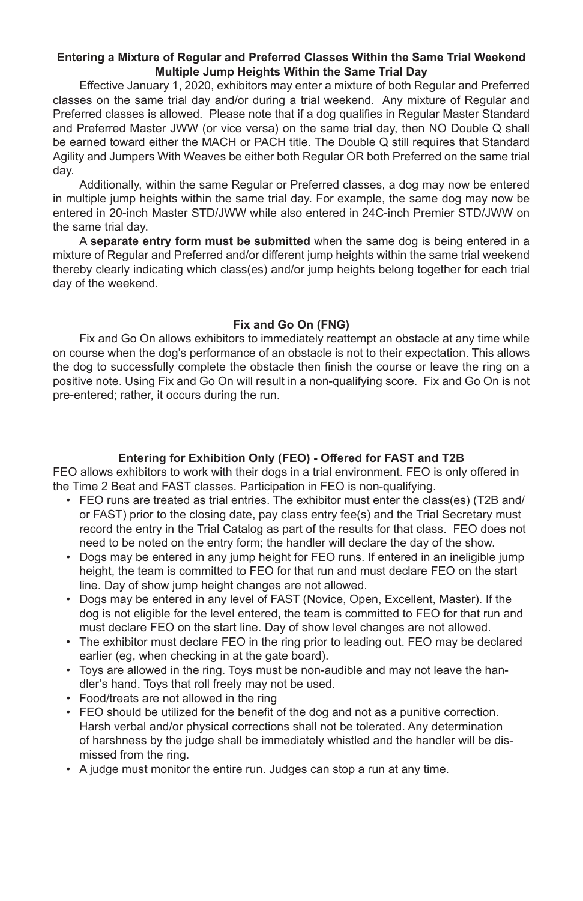#### **Entering a Mixture of Regular and Preferred Classes Within the Same Trial Weekend Multiple Jump Heights Within the Same Trial Day**

Effective January 1, 2020, exhibitors may enter a mixture of both Regular and Preferred classes on the same trial day and/or during a trial weekend. Any mixture of Regular and Preferred classes is allowed. Please note that if a dog qualifies in Regular Master Standard and Preferred Master JWW (or vice versa) on the same trial day, then NO Double Q shall be earned toward either the MACH or PACH title. The Double Q still requires that Standard Agility and Jumpers With Weaves be either both Regular OR both Preferred on the same trial day.

Additionally, within the same Regular or Preferred classes, a dog may now be entered in multiple jump heights within the same trial day. For example, the same dog may now be entered in 20-inch Master STD/JWW while also entered in 24C-inch Premier STD/JWW on the same trial day.

A **separate entry form must be submitted** when the same dog is being entered in a mixture of Regular and Preferred and/or different jump heights within the same trial weekend thereby clearly indicating which class(es) and/or jump heights belong together for each trial day of the weekend.

#### **Fix and Go On (FNG)**

Fix and Go On allows exhibitors to immediately reattempt an obstacle at any time while on course when the dog's performance of an obstacle is not to their expectation. This allows the dog to successfully complete the obstacle then finish the course or leave the ring on a positive note. Using Fix and Go On will result in a non-qualifying score. Fix and Go On is not pre-entered; rather, it occurs during the run.

#### **Entering for Exhibition Only (FEO) - Offered for FAST and T2B**

FEO allows exhibitors to work with their dogs in a trial environment. FEO is only offered in the Time 2 Beat and FAST classes. Participation in FEO is non-qualifying.

- FEO runs are treated as trial entries. The exhibitor must enter the class(es) (T2B and/ or FAST) prior to the closing date, pay class entry fee(s) and the Trial Secretary must record the entry in the Trial Catalog as part of the results for that class. FEO does not need to be noted on the entry form; the handler will declare the day of the show.
- Dogs may be entered in any jump height for FEO runs. If entered in an ineligible jump height, the team is committed to FEO for that run and must declare FEO on the start line. Day of show jump height changes are not allowed.
- Dogs may be entered in any level of FAST (Novice, Open, Excellent, Master). If the dog is not eligible for the level entered, the team is committed to FEO for that run and must declare FEO on the start line. Day of show level changes are not allowed.
- The exhibitor must declare FEO in the ring prior to leading out. FEO may be declared earlier (eg, when checking in at the gate board).
- Toys are allowed in the ring. Toys must be non-audible and may not leave the handler's hand. Toys that roll freely may not be used.
- Food/treats are not allowed in the ring
- FEO should be utilized for the benefit of the dog and not as a punitive correction. Harsh verbal and/or physical corrections shall not be tolerated. Any determination of harshness by the judge shall be immediately whistled and the handler will be dismissed from the ring.
- A judge must monitor the entire run. Judges can stop a run at any time.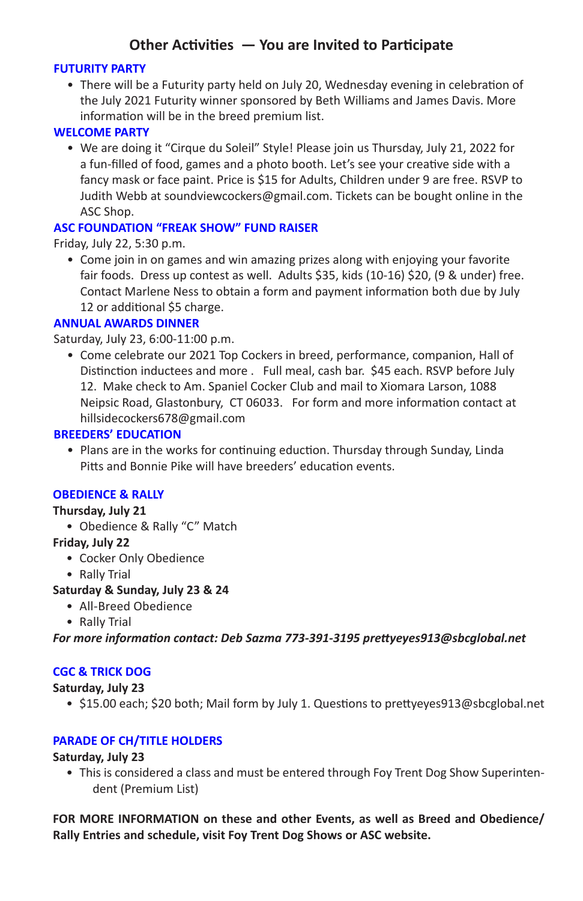## **Other Activities — You are Invited to Participate**

#### **FUTURITY PARTY**

• There will be a Futurity party held on July 20, Wednesday evening in celebration of the July 2021 Futurity winner sponsored by Beth Williams and James Davis. More information will be in the breed premium list.

#### **WELCOME PARTY**

• We are doing it "Cirque du Soleil" Style! Please join us Thursday, July 21, 2022 for a fun-filled of food, games and a photo booth. Let's see your creative side with a fancy mask or face paint. Price is \$15 for Adults, Children under 9 are free. RSVP to Judith Webb at soundviewcockers@gmail.com. Tickets can be bought online in the ASC Shop.

#### **ASC FOUNDATION "FREAK SHOW" FUND RAISER**

Friday, July 22, 5:30 p.m.

• Come join in on games and win amazing prizes along with enjoying your favorite fair foods. Dress up contest as well. Adults \$35, kids (10-16) \$20, (9 & under) free. Contact Marlene Ness to obtain a form and payment information both due by July 12 or additional \$5 charge.

#### **ANNUAL AWARDS DINNER**

Saturday, July 23, 6:00-11:00 p.m.

• Come celebrate our 2021 Top Cockers in breed, performance, companion, Hall of Distinction inductees and more . Full meal, cash bar. \$45 each. RSVP before July 12. Make check to Am. Spaniel Cocker Club and mail to Xiomara Larson, 1088 Neipsic Road, Glastonbury, CT 06033. For form and more information contact at hillsidecockers678@gmail.com

#### **BREEDERS' EDUCATION**

• Plans are in the works for continuing eduction. Thursday through Sunday, Linda Pitts and Bonnie Pike will have breeders' education events.

## **OBEDIENCE & RALLY**

#### **Thursday, July 21**

• Obedience & Rally "C" Match

#### **Friday, July 22**

- Cocker Only Obedience
- Rally Trial

#### **Saturday & Sunday, July 23 & 24**

- All-Breed Obedience
- Rally Trial

*For more information contact: Deb Sazma 773-391-3195 prettyeyes913@sbcglobal.net*

#### **CGC & TRICK DOG**

**Saturday, July 23**

• \$15.00 each; \$20 both; Mail form by July 1. Questions to prettyeyes913@sbcglobal.net

#### **PARADE OF CH/TITLE HOLDERS**

#### **Saturday, July 23**

• This is considered a class and must be entered through Foy Trent Dog Show Superintendent (Premium List)

**FOR MORE INFORMATION on these and other Events, as well as Breed and Obedience/ Rally Entries and schedule, visit Foy Trent Dog Shows or ASC website.**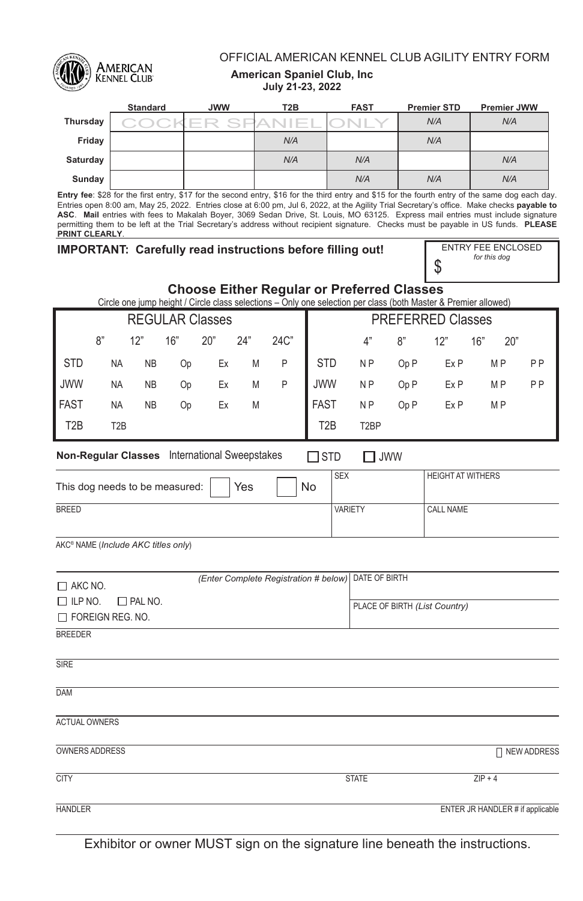

#### OFFICIAL AMERICAN KENNEL CLUB AGILITY ENTRY FORM

**American Spaniel Club, Inc July 21-23, 2022**

|          | <b>Standard</b> | <b>JWW</b> | T2B    | <b>FAST</b> | <b>Premier STD</b> | <b>Premier JWW</b> |
|----------|-----------------|------------|--------|-------------|--------------------|--------------------|
| Thursday |                 |            | $\Box$ |             | N/A                | N/A                |
| Friday   |                 |            | N/A    |             | N/A                |                    |
| Saturday |                 |            | N/A    | N/A         |                    | N/A                |
| Sunday   |                 |            |        | N/A         | N/A                | N/A                |

**Entry fee**: \$28 for the first entry, \$17 for the second entry, \$16 for the third entry and \$15 for the fourth entry of the same dog each day. Entries open 8:00 am, May 25, 2022. Entries close at 6:00 pm, Jul 6, 2022, at the Agility Trial Secretary's office. Make checks **payable to ASC. Mail** entries with fees to Makalah Boyer, 3069 Sedan Drive, St. Louis, MO 63125. Express mail entries must include signature<br>permitting them to be left at the Trial Secretary's address without recipient signature. C

| penniung ineni to be ien at the Thai Secretary's address without recipient signature. Checks must be payable in OS funds. PLEAGE<br>PRINT CLEARLY. |                                                 |                |           |     |     |     |                                                   |                   |      |                               |                                  |                      |
|----------------------------------------------------------------------------------------------------------------------------------------------------|-------------------------------------------------|----------------|-----------|-----|-----|-----|---------------------------------------------------|-------------------|------|-------------------------------|----------------------------------|----------------------|
| <b>ENTRY FEE ENCLOSED</b><br><b>IMPORTANT: Carefully read instructions before filling out!</b><br>for this dog                                     |                                                 |                |           |     |     |     |                                                   |                   |      |                               |                                  |                      |
|                                                                                                                                                    |                                                 |                |           |     |     |     |                                                   |                   |      | \$                            |                                  |                      |
|                                                                                                                                                    |                                                 |                |           |     |     |     | <b>Choose Either Regular or Preferred Classes</b> |                   |      |                               |                                  |                      |
| Circle one jump height / Circle class selections - Only one selection per class (both Master & Premier allowed)<br><b>REGULAR Classes</b>          |                                                 |                |           |     |     |     |                                                   |                   |      | <b>PREFERRED Classes</b>      |                                  |                      |
|                                                                                                                                                    | 8"                                              | 12"            | 16"       | 20" | 24" | 24C |                                                   | 4"                | 8"   | 12"                           | 16"<br>20"                       |                      |
| <b>STD</b>                                                                                                                                         | <b>NA</b>                                       | <b>NB</b>      | <b>Op</b> | Ex  | M   | P   | <b>STD</b>                                        | N <sub>P</sub>    | Op P | Ex P                          | M P                              | P <sub>P</sub>       |
| <b>JWW</b>                                                                                                                                         | <b>NA</b>                                       | <b>NB</b>      | Op        | Ex  | M   | P   | <b>JWW</b>                                        | N <sub>P</sub>    | Op P | Ex P                          | M P                              | P <sub>P</sub>       |
| <b>FAST</b>                                                                                                                                        | NA.                                             | <b>NB</b>      | Op        | Ex  | M   |     | <b>FAST</b>                                       | N <sub>P</sub>    | Op P | Ex P                          | M <sub>P</sub>                   |                      |
| T <sub>2</sub> B                                                                                                                                   | T <sub>2</sub> B                                |                |           |     |     |     | T <sub>2</sub> B                                  | T <sub>2</sub> BP |      |                               |                                  |                      |
|                                                                                                                                                    | Non-Regular Classes International Sweepstakes   |                |           |     |     |     | $\square$ STD                                     | $\square$ JWW     |      |                               |                                  |                      |
|                                                                                                                                                    |                                                 |                |           |     |     |     | <b>SEX</b>                                        |                   |      | <b>HEIGHT AT WITHERS</b>      |                                  |                      |
|                                                                                                                                                    | This dog needs to be measured:                  |                |           |     | Yes |     | No                                                |                   |      |                               |                                  |                      |
| <b>BREED</b>                                                                                                                                       |                                                 |                |           |     |     |     |                                                   | <b>VARIETY</b>    |      | <b>CALL NAME</b>              |                                  |                      |
|                                                                                                                                                    | AKC <sup>®</sup> NAME (Include AKC titles only) |                |           |     |     |     |                                                   |                   |      |                               |                                  |                      |
|                                                                                                                                                    |                                                 |                |           |     |     |     |                                                   |                   |      |                               |                                  |                      |
| $\Box$ AKC NO.                                                                                                                                     |                                                 |                |           |     |     |     | (Enter Complete Registration # below)             | DATE OF BIRTH     |      |                               |                                  |                      |
| $\Box$ ILP NO.                                                                                                                                     |                                                 | $\Box$ PAL NO. |           |     |     |     |                                                   |                   |      | PLACE OF BIRTH (List Country) |                                  |                      |
|                                                                                                                                                    | $\Box$ FOREIGN REG. NO.                         |                |           |     |     |     |                                                   |                   |      |                               |                                  |                      |
| <b>BREEDER</b>                                                                                                                                     |                                                 |                |           |     |     |     |                                                   |                   |      |                               |                                  |                      |
| <b>SIRE</b>                                                                                                                                        |                                                 |                |           |     |     |     |                                                   |                   |      |                               |                                  |                      |
| <b>DAM</b>                                                                                                                                         |                                                 |                |           |     |     |     |                                                   |                   |      |                               |                                  |                      |
|                                                                                                                                                    |                                                 |                |           |     |     |     |                                                   |                   |      |                               |                                  |                      |
| <b>ACTUAL OWNERS</b>                                                                                                                               |                                                 |                |           |     |     |     |                                                   |                   |      |                               |                                  |                      |
|                                                                                                                                                    | <b>OWNERS ADDRESS</b>                           |                |           |     |     |     |                                                   |                   |      |                               |                                  | <b>T NEW ADDRESS</b> |
| <b>CITY</b>                                                                                                                                        |                                                 |                |           |     |     |     |                                                   | <b>STATE</b>      |      |                               | $ZIP + 4$                        |                      |
|                                                                                                                                                    |                                                 |                |           |     |     |     |                                                   |                   |      |                               |                                  |                      |
| <b>HANDLER</b>                                                                                                                                     |                                                 |                |           |     |     |     |                                                   |                   |      |                               | ENTER JR HANDLER # if applicable |                      |

Exhibitor or owner MUST sign on the signature line beneath the instructions.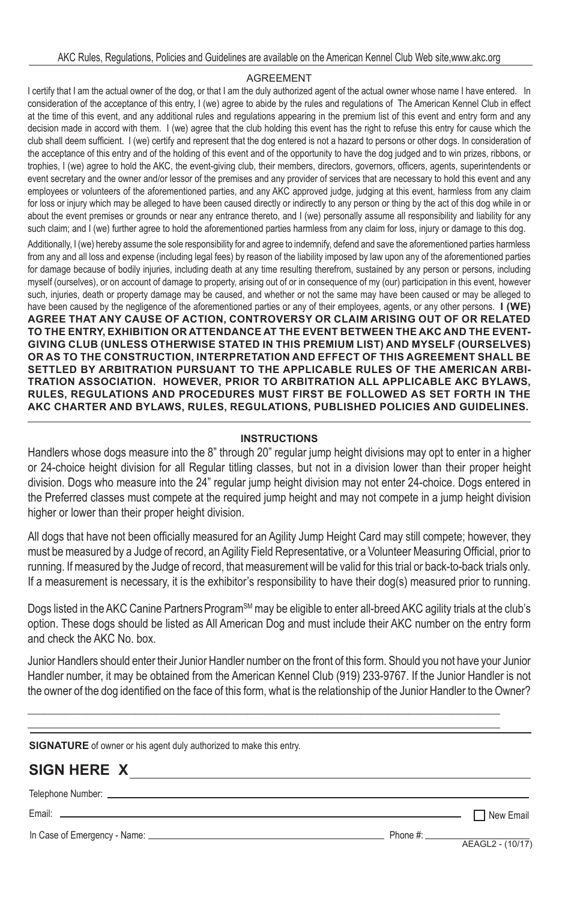#### AGREEMENT

I certify that I am the actual owner of the dog, or that I am the duly authorized agent of the actual owner whose name I have entered. In consideration of the acceptance of this entry, I (we) agree to abide by the rules and regulations of The American Kennel Club in effect at the time of this event, and any additional rules and regulations appearing in the premium list of this event and entry form and any decision made in accord with them. I (we) agree that the club holding this event has the right to refuse this entry for cause which the club shall deem sufficient. I (we) certify and represent that the dog entered is not a hazard to persons or other dogs. In consideration of the acceptance of this entry and of the holding of this event and of the opportunity to have the dog judged and to win prizes, ribbons, or trophies, I (we) agree to hold the AKC, the event-giving club, their members, directors, governors, officers, agents, superintendents or event secretary and the owner and/or lessor of the premises and any provider of services that are necessary to hold this event and any employees or volunteers of the aforementioned parties, and any AKC approved judge, judging at this event, harmless from any claim for loss or injury which may be alleged to have been caused directly or indirectly to any person or thing by the act of this dog while in or about the event premises or grounds or near any entrance thereto, and I (we) personally assume all responsibility and liability for any such claim; and I (we) further agree to hold the aforementioned parties harmless from any claim for loss, injury or damage to this dog.

Additionally, I (we) hereby assume the sole responsibility for and agree to indemnify, defend and save the aforementioned parties harmless from any and all loss and expense (including legal fees) by reason of the liability imposed by law upon any of the aforementioned parties for damage because of bodily injuries, including death at any time resulting therefrom, sustained by any person or persons, including myself (ourselves), or on account of damage to property, arising out of or in consequence of my (our) participation in this event, however such, injuries, death or property damage may be caused, and whether or not the same may have been caused or may be alleged to have been caused by the negligence of the aforementioned parties or any of their employees, agents, or any other persons. **I (WE) AGREE THAT ANY CAUSE OF ACTION, CONTROVERSY OR CLAIM ARISING OUT OF OR RELATED TO THE ENTRY, EXHIBITION OR ATTENDANCE AT THE EVENT BETWEEN THE AKC AND THE EVENT-GIVING CLUB (UNLESS OTHERWISE STATED IN THIS PREMIUM LIST) AND MYSELF (OURSELVES) OR AS TO THE CONSTRUCTION, INTERPRETATION AND EFFECT OF THIS AGREEMENT SHALL BE SETTLED BY ARBITRATION PURSUANT TO THE APPLICABLE RULES OF THE AMERICAN ARBI-TRATION ASSOCIATION. HOWEVER, PRIOR TO ARBITRATION ALL APPLICABLE AKC BYLAWS, RULES, REGULATIONS AND PROCEDURES MUST FIRST BE FOLLOWED AS SET FORTH IN THE AKC CHARTER AND BYLAWS, RULES, REGULATIONS, PUBLISHED POLICIES AND GUIDELINES.**

#### **INSTRUCTIONS**

Handlers whose dogs measure into the 8" through 20" regular jump height divisions may opt to enter in a higher or 24-choice height division for all Regular titling classes, but not in a division lower than their proper height division. Dogs who measure into the 24" regular jump height division may not enter 24-choice. Dogs entered in the Preferred classes must compete at the required jump height and may not compete in a jump height division higher or lower than their proper height division.

All dogs that have not been officially measured for an Agility Jump Height Card may still compete; however, they must be measured by a Judge of record, an Agility Field Representative, or a Volunteer Measuring Official, prior to running. If measured by the Judge of record, that measurement will be valid for this trial or back-to-back trials only. If a measurement is necessary, it is the exhibitor's responsibility to have their dog(s) measured prior to running.

Dogs listed in the AKC Canine Partners Program<sup>SM</sup> may be eligible to enter all-breed AKC agility trials at the club's option. These dogs should be listed as All American Dog and must include their AKC number on the entry form and check the AKC No. box.

Junior Handlers should enter their Junior Handler number on the front of this form. Should you not have your Junior Handler number, it may be obtained from the American Kennel Club (919) 233-9767. If the Junior Handler is not the owner of the dog identified on the face of this form, what is the relationship of the Junior Handler to the Owner?

 $\_$  ,  $\_$  ,  $\_$  ,  $\_$  ,  $\_$  ,  $\_$  ,  $\_$  ,  $\_$  ,  $\_$  ,  $\_$  ,  $\_$  ,  $\_$  ,  $\_$  ,  $\_$  ,  $\_$  ,  $\_$  ,  $\_$  ,  $\_$  ,  $\_$  ,  $\_$  ,  $\_$  ,  $\_$  ,  $\_$  ,  $\_$  ,  $\_$  ,  $\_$  ,  $\_$  ,  $\_$  ,  $\_$  ,  $\_$  ,  $\_$  ,  $\_$  ,  $\_$  ,  $\_$  ,  $\_$  ,  $\_$  ,  $\_$  , \_\_\_\_\_\_\_\_\_\_\_\_\_\_\_\_\_\_\_\_\_\_\_\_\_\_\_\_\_\_\_\_\_\_\_\_\_\_\_\_\_\_\_\_\_\_\_\_\_\_\_\_\_\_\_\_\_\_\_\_\_\_\_\_\_\_\_\_\_\_\_\_\_\_\_\_\_\_\_\_\_\_\_\_\_\_\_\_

**SIGNATURE** of owner or his agent duly authorized to make this entry.

# **SIGN HERE X**

Telephone Number: \_\_\_\_\_

Email:

In Case of Emergency - Name: Phone #:

AEAGL2 - (10/17)

New Email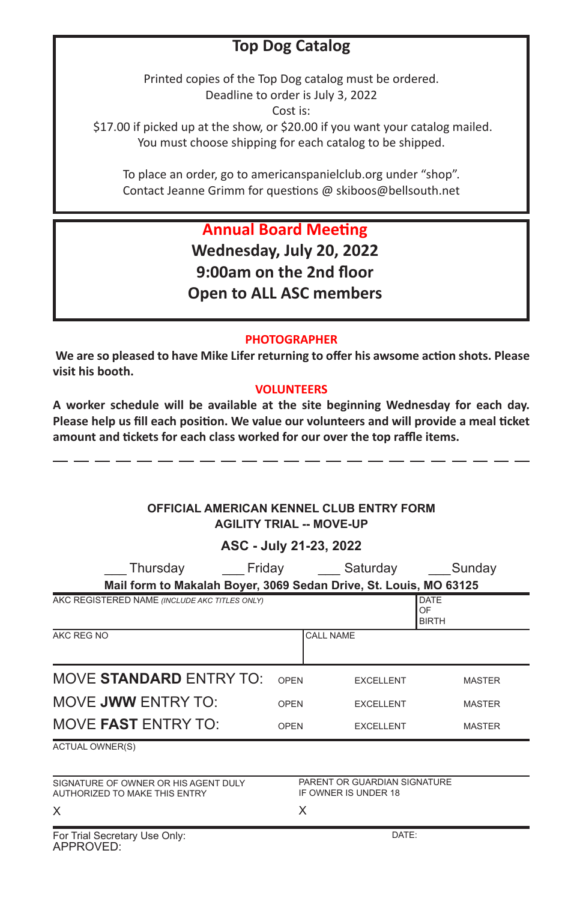## **Top Dog Catalog**

Printed copies of the Top Dog catalog must be ordered. Deadline to order is July 3, 2022 Cost is:

 \$17.00 if picked up at the show, or \$20.00 if you want your catalog mailed. You must choose shipping for each catalog to be shipped.

To place an order, go to americanspanielclub.org under "shop". Contact Jeanne Grimm for questions @ skiboos@bellsouth.net

# **Annual Board Meeting Wednesday, July 20, 2022 9:00am on the 2nd floor Open to ALL ASC members**

#### **PHOTOGRAPHER**

 **We are so pleased to have Mike Lifer returning to offer his awsome action shots. Please visit his booth.**

#### **VOLUNTEERS**

**A worker schedule will be available at the site beginning Wednesday for each day. Please help us fill each position. We value our volunteers and will provide a meal ticket amount and tickets for each class worked for our over the top raffle items.**

## **OFFICIAL AMERICAN KENNEL CLUB ENTRY FORM AGILITY TRIAL -- MOVE-UP**

#### **ASC - July 21-23, 2022**

| Thursday                                                                                                                      | Friday      | Saturday         | Sunday                            |
|-------------------------------------------------------------------------------------------------------------------------------|-------------|------------------|-----------------------------------|
| Mail form to Makalah Boyer, 3069 Sedan Drive, St. Louis, MO 63125                                                             |             |                  |                                   |
| AKC REGISTERED NAME (INCLUDE AKC TITLES ONLY)                                                                                 |             |                  | <b>DATE</b><br>OF<br><b>BIRTH</b> |
| AKC REG NO                                                                                                                    |             | CALL NAME        |                                   |
| MOVE <b>STANDARD</b> ENTRY TO:                                                                                                | OPEN        | <b>EXCELLENT</b> | <b>MASTER</b>                     |
| MOVE <b>JWW ENTRY TO:</b>                                                                                                     | <b>OPEN</b> | <b>EXCELLENT</b> | <b>MASTER</b>                     |
| MOVE <b>FAST</b> ENTRY TO:                                                                                                    | <b>OPEN</b> | <b>EXCELLENT</b> | <b>MASTER</b>                     |
| <b>ACTUAL OWNER(S)</b>                                                                                                        |             |                  |                                   |
| PARENT OR GUARDIAN SIGNATURE<br>SIGNATURE OF OWNER OR HIS AGENT DULY<br>IF OWNER IS UNDER 18<br>AUTHORIZED TO MAKE THIS ENTRY |             |                  |                                   |

X